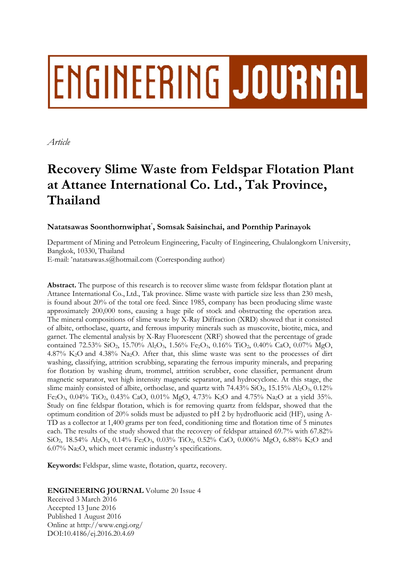# ENGINEERING JOURNAL

*Article* 

# **Recovery Slime Waste from Feldspar Flotation Plant at Attanee International Co. Ltd., Tak Province, Thailand**

# **Natatsawas Soonthornwiphat**\* **, Somsak Saisinchai, and Pornthip Parinayok**

Department of Mining and Petroleum Engineering, Faculty of Engineering, Chulalongkorn University, Bangkok, 10330, Thailand

E-mail: \*natatsawas.s@hotmail.com (Corresponding author)

**Abstract.** The purpose of this research is to recover slime waste from feldspar flotation plant at Attanee International Co., Ltd., Tak province. Slime waste with particle size less than 230 mesh, is found about 20% of the total ore feed. Since 1985, company has been producing slime waste approximately 200,000 tons, causing a huge pile of stock and obstructing the operation area. The mineral compositions of slime waste by X-Ray Diffraction (XRD) showed that it consisted of albite, orthoclase, quartz, and ferrous impurity minerals such as muscovite, biotite, mica, and garnet. The elemental analysis by X-Ray Fluorescent (XRF) showed that the percentage of grade contained 72.53% SiO<sub>2</sub>, 15.70% Al<sub>2</sub>O<sub>3</sub>, 1.56% Fe<sub>2</sub>O<sub>3</sub>, 0.16% TiO<sub>2</sub>, 0.40% CaO, 0.07% MgO, 4.87% K2O and 4.38% Na2O. After that, this slime waste was sent to the processes of dirt washing, classifying, attrition scrubbing, separating the ferrous impurity minerals, and preparing for flotation by washing drum, trommel, attrition scrubber, cone classifier, permanent drum magnetic separator, wet high intensity magnetic separator, and hydrocyclone. At this stage, the slime mainly consisted of albite, orthoclase, and quartz with  $74.43\%$  SiO<sub>2</sub>,  $15.15\%$  Al<sub>2</sub>O<sub>3</sub>,  $0.12\%$ Fe2O3, 0.04% TiO2, 0.43% CaO, 0.01% MgO, 4.73% K2O and 4.75% Na2O at a yield 35%. Study on fine feldspar flotation, which is for removing quartz from feldspar, showed that the optimum condition of 20% solids must be adjusted to pH 2 by hydrofluoric acid (HF), using A-TD as a collector at 1,400 grams per ton feed, conditioning time and flotation time of 5 minutes each. The results of the study showed that the recovery of feldspar attained 69.7% with 67.82% SiO2, 18.54% Al2O3, 0.14% Fe2O3, 0.03% TiO2, 0.52% CaO, 0.006% MgO, 6.88% K2O and 6.07% Na2O, which meet ceramic industry's specifications.

**Keywords:** Feldspar, slime waste, flotation, quartz, recovery.

**ENGINEERING JOURNAL** Volume 20 Issue 4

Received 3 March 2016 Accepted 13 June 2016 Published 1 August 2016 Online at http://www.engj.org/ DOI:10.4186/ej.2016.20.4.69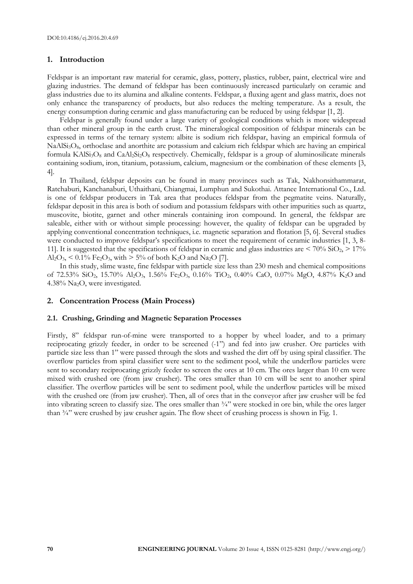#### **1. Introduction**

Feldspar is an important raw material for ceramic, glass, pottery, plastics, rubber, paint, electrical wire and glazing industries. The demand of feldspar has been continuously increased particularly on ceramic and glass industries due to its alumina and alkaline contents. Feldspar, a fluxing agent and glass matrix, does not only enhance the transparency of products, but also reduces the melting temperature. As a result, the energy consumption during ceramic and glass manufacturing can be reduced by using feldspar [1, 2].

Feldspar is generally found under a large variety of geological conditions which is more widespread than other mineral group in the earth crust. The mineralogical composition of feldspar minerals can be expressed in terms of the ternary system: albite is sodium rich feldspar, having an empirical formula of NaAlSi<sub>3</sub>O<sub>8</sub>, orthoclase and anorthite are potassium and calcium rich feldspar which are having an empirical formula  $KAISi<sub>3</sub>O<sub>8</sub>$  and  $CaAI<sub>2</sub>Si<sub>2</sub>O<sub>8</sub>$  respectively. Chemically, feldspar is a group of aluminosilicate minerals containing sodium, iron, titanium, potassium, calcium, magnesium or the combination of these elements [3, 4].

In Thailand, feldspar deposits can be found in many provinces such as Tak, Nakhonsithammarat, Ratchaburi, Kanchanaburi, Uthaithani, Chiangmai, Lumphun and Sukothai. Attanee International Co., Ltd. is one of feldspar producers in Tak area that produces feldspar from the pegmatite veins. Naturally, feldspar deposit in this area is both of sodium and potassium feldspars with other impurities such as quartz, muscovite, biotite, garnet and other minerals containing iron compound. In general, the feldspar are saleable, either with or without simple processing: however, the quality of feldspar can be upgraded by applying conventional concentration techniques, i.e. magnetic separation and flotation [5, 6]. Several studies were conducted to improve feldspar's specifications to meet the requirement of ceramic industries [1, 3, 8-11]. It is suggested that the specifications of feldspar in ceramic and glass industries are  $\langle 70\% \text{ SiO}_2 \rangle \ge 17\%$  $Al_2O_3$ , < 0.1% Fe<sub>2</sub>O<sub>3</sub>, with > 5% of both K<sub>2</sub>O and Na<sub>2</sub>O [7].

In this study, slime waste, fine feldspar with particle size less than 230 mesh and chemical compositions of 72.53% SiO2, 15.70% Al2O3, 1.56% Fe2O3, 0.16% TiO2, 0.40% CaO, 0.07% MgO, 4.87% K2O and 4.38% Na2O, were investigated.

# **2. Concentration Process (Main Process)**

#### **2.1. Crushing, Grinding and Magnetic Separation Processes**

Firstly, 8" feldspar run-of-mine were transported to a hopper by wheel loader, and to a primary reciprocating grizzly feeder, in order to be screened (-1") and fed into jaw crusher. Ore particles with particle size less than 1" were passed through the slots and washed the dirt off by using spiral classifier. The overflow particles from spiral classifier were sent to the sediment pool, while the underflow particles were sent to secondary reciprocating grizzly feeder to screen the ores at 10 cm. The ores larger than 10 cm were mixed with crushed ore (from jaw crusher). The ores smaller than 10 cm will be sent to another spiral classifier. The overflow particles will be sent to sediment pool, while the underflow particles will be mixed with the crushed ore (from jaw crusher). Then, all of ores that in the conveyor after jaw crusher will be fed into vibrating screen to classify size. The ores smaller than ¾" were stocked in ore bin, while the ores larger than ¾" were crushed by jaw crusher again. The flow sheet of crushing process is shown in Fig. 1.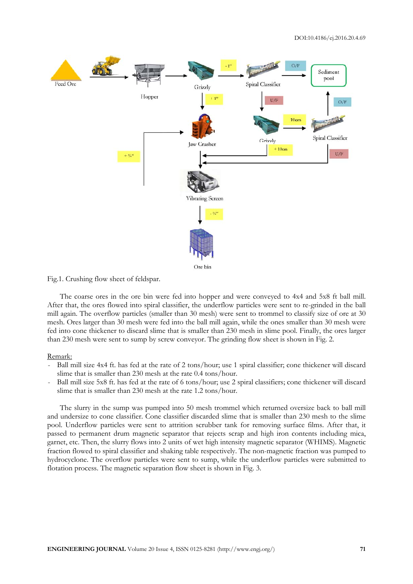

#### Fig.1. Crushing flow sheet of feldspar.

The coarse ores in the ore bin were fed into hopper and were conveyed to 4x4 and 5x8 ft ball mill. After that, the ores flowed into spiral classifier, the underflow particles were sent to re-grinded in the ball mill again. The overflow particles (smaller than 30 mesh) were sent to trommel to classify size of ore at 30 mesh. Ores larger than 30 mesh were fed into the ball mill again, while the ones smaller than 30 mesh were fed into cone thickener to discard slime that is smaller than 230 mesh in slime pool. Finally, the ores larger than 230 mesh were sent to sump by screw conveyor. The grinding flow sheet is shown in Fig. 2.

#### Remark:

- Ball mill size 4x4 ft. has fed at the rate of 2 tons/hour; use 1 spiral classifier; cone thickener will discard slime that is smaller than 230 mesh at the rate 0.4 tons/hour.
- Ball mill size 5x8 ft. has fed at the rate of 6 tons/hour; use 2 spiral classifiers; cone thickener will discard slime that is smaller than 230 mesh at the rate 1.2 tons/hour.

The slurry in the sump was pumped into 50 mesh trommel which returned oversize back to ball mill and undersize to cone classifier. Cone classifier discarded slime that is smaller than 230 mesh to the slime pool. Underflow particles were sent to attrition scrubber tank for removing surface films. After that, it passed to permanent drum magnetic separator that rejects scrap and high iron contents including mica, garnet, etc. Then, the slurry flows into 2 units of wet high intensity magnetic separator (WHIMS). Magnetic fraction flowed to spiral classifier and shaking table respectively. The non-magnetic fraction was pumped to hydrocyclone. The overflow particles were sent to sump, while the underflow particles were submitted to flotation process. The magnetic separation flow sheet is shown in Fig. 3.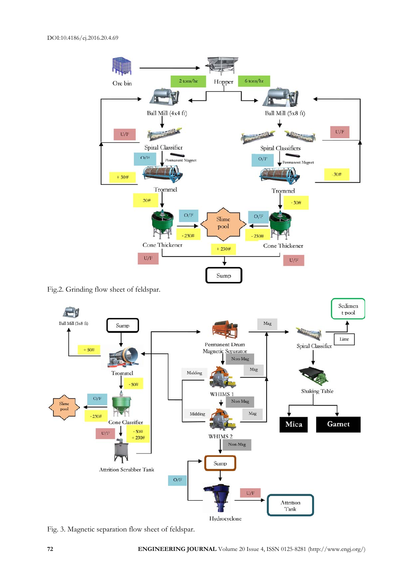

Fig.2. Grinding flow sheet of feldspar.



Fig. 3. Magnetic separation flow sheet of feldspar.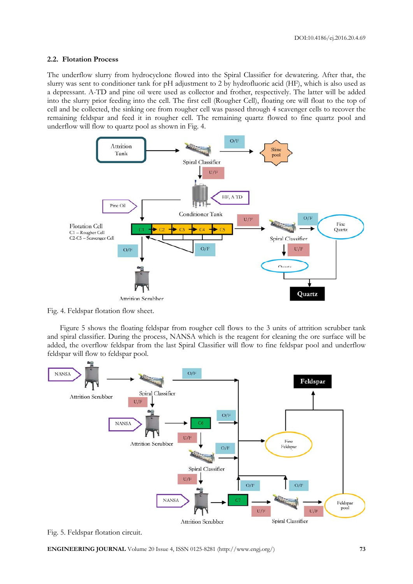#### **2.2. Flotation Process**

The underflow slurry from hydrocyclone flowed into the Spiral Classifier for dewatering. After that, the slurry was sent to conditioner tank for pH adjustment to 2 by hydrofluoric acid (HF), which is also used as a depressant. A-TD and pine oil were used as collector and frother, respectively. The latter will be added into the slurry prior feeding into the cell. The first cell (Rougher Cell), floating ore will float to the top of cell and be collected, the sinking ore from rougher cell was passed through 4 scavenger cells to recover the remaining feldspar and feed it in rougher cell. The remaining quartz flowed to fine quartz pool and underflow will flow to quartz pool as shown in Fig. 4.



Fig. 4. Feldspar flotation flow sheet.

Figure 5 shows the floating feldspar from rougher cell flows to the 3 units of attrition scrubber tank and spiral classifier. During the process, NANSA which is the reagent for cleaning the ore surface will be added, the overflow feldspar from the last Spiral Classifier will flow to fine feldspar pool and underflow feldspar will flow to feldspar pool.



Fig. 5. Feldspar flotation circuit.

**ENGINEERING JOURNAL** Volume 20 Issue 4, ISSN 0125-8281 (http://www.engj.org/) **73**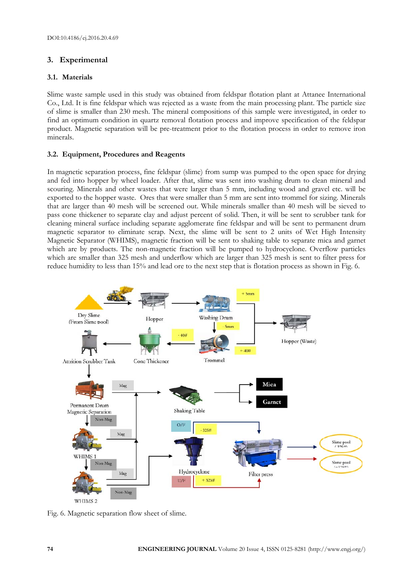# **3. Experimental**

# **3.1. Materials**

Slime waste sample used in this study was obtained from feldspar flotation plant at Attanee International Co., Ltd. It is fine feldspar which was rejected as a waste from the main processing plant. The particle size of slime is smaller than 230 mesh. The mineral compositions of this sample were investigated, in order to find an optimum condition in quartz removal flotation process and improve specification of the feldspar product. Magnetic separation will be pre-treatment prior to the flotation process in order to remove iron minerals.

# **3.2. Equipment, Procedures and Reagents**

In magnetic separation process, fine feldspar (slime) from sump was pumped to the open space for drying and fed into hopper by wheel loader. After that, slime was sent into washing drum to clean mineral and scouring. Minerals and other wastes that were larger than 5 mm, including wood and gravel etc. will be exported to the hopper waste. Ores that were smaller than 5 mm are sent into trommel for sizing. Minerals that are larger than 40 mesh will be screened out. While minerals smaller than 40 mesh will be sieved to pass cone thickener to separate clay and adjust percent of solid. Then, it will be sent to scrubber tank for cleaning mineral surface including separate agglomerate fine feldspar and will be sent to permanent drum magnetic separator to eliminate scrap. Next, the slime will be sent to 2 units of Wet High Intensity Magnetic Separator (WHIMS), magnetic fraction will be sent to shaking table to separate mica and garnet which are by products. The non-magnetic fraction will be pumped to hydrocyclone. Overflow particles which are smaller than 325 mesh and underflow which are larger than 325 mesh is sent to filter press for reduce humidity to less than 15% and lead ore to the next step that is flotation process as shown in Fig. 6.



Fig. 6. Magnetic separation flow sheet of slime.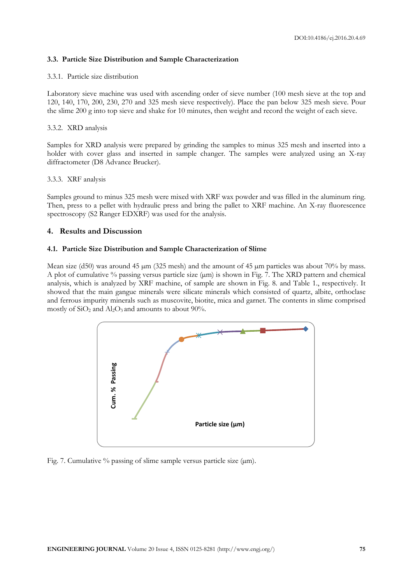# **3.3. Particle Size Distribution and Sample Characterization**

#### 3.3.1. Particle size distribution

Laboratory sieve machine was used with ascending order of sieve number (100 mesh sieve at the top and 120, 140, 170, 200, 230, 270 and 325 mesh sieve respectively). Place the pan below 325 mesh sieve. Pour the slime 200 g into top sieve and shake for 10 minutes, then weight and record the weight of each sieve.

#### 3.3.2. XRD analysis

Samples for XRD analysis were prepared by grinding the samples to minus 325 mesh and inserted into a holder with cover glass and inserted in sample changer. The samples were analyzed using an X-ray diffractometer (D8 Advance Brucker).

#### 3.3.3. XRF analysis

Samples ground to minus 325 mesh were mixed with XRF wax powder and was filled in the aluminum ring. Then, press to a pellet with hydraulic press and bring the pallet to XRF machine. An X-ray fluorescence spectroscopy (S2 Ranger EDXRF) was used for the analysis.

### **4. Results and Discussion**

### **4.1. Particle Size Distribution and Sample Characterization of Slime**

Mean size (d50) was around 45  $\mu$ m (325 mesh) and the amount of 45  $\mu$ m particles was about 70% by mass. A plot of cumulative  $\%$  passing versus particle size ( $\mu$ m) is shown in Fig. 7. The XRD pattern and chemical analysis, which is analyzed by XRF machine, of sample are shown in Fig. 8. and Table 1., respectively. It showed that the main gangue minerals were silicate minerals which consisted of quartz, albite, orthoclase and ferrous impurity minerals such as muscovite, biotite, mica and garnet. The contents in slime comprised mostly of  $SiO<sub>2</sub>$  and  $Al<sub>2</sub>O<sub>3</sub>$  and amounts to about 90%.

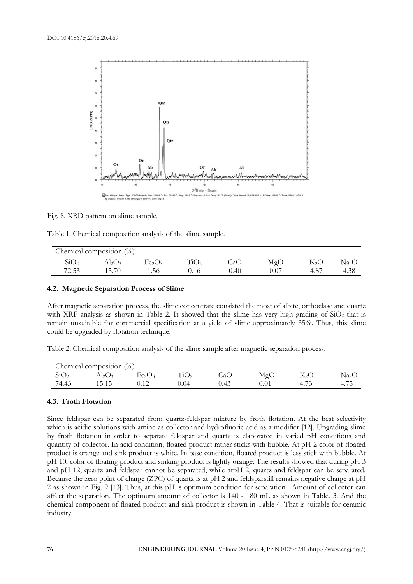

Fig. 8. XRD pattern on slime sample.

|  |  | Table 1. Chemical composition analysis of the slime sample. |  |  |  |
|--|--|-------------------------------------------------------------|--|--|--|
|  |  |                                                             |  |  |  |

| Chemical composition $(\%)$ |       |                                |      |     |      |               |                 |  |  |
|-----------------------------|-------|--------------------------------|------|-----|------|---------------|-----------------|--|--|
| SiO2                        | Al2O3 | Fe <sub>2</sub> O <sub>3</sub> |      | CaC | MgO  | K2O           | Na <sub>2</sub> |  |  |
| 72.53                       | 15.70 | 1.56                           | 0.16 | .40 | 0.07 | $4.8^{\circ}$ | 4.38            |  |  |

#### **4.2. Magnetic Separation Process of Slime**

After magnetic separation process, the slime concentrate consisted the most of albite, orthoclase and quartz with XRF analysis as shown in Table 2. It showed that the slime has very high grading of SiO<sub>2</sub> that is remain unsuitable for commercial specification at a yield of slime approximately 35%. Thus, this slime could be upgraded by flotation technique.

Table 2. Chemical composition analysis of the slime sample after magnetic separation process.

| Chemical composition $\binom{0}{0}$ |                         |                                |                  |      |          |                          |                   |  |  |
|-------------------------------------|-------------------------|--------------------------------|------------------|------|----------|--------------------------|-------------------|--|--|
| SiO <sub>2</sub>                    | $\text{Al}_2\text{O}_3$ | Fe <sub>2</sub> O <sub>3</sub> | TiO <sub>2</sub> | CaC  | MgC      | $\mathbf{N}_2\mathbf{U}$ | Na <sub>2</sub> C |  |  |
| 74.43                               | 515<br>1 J . 1 J        |                                | .04              | 0.43 | $0.01\,$ |                          | 4.75              |  |  |

#### **4.3. Froth Flotation**

Since feldspar can be separated from quartz-feldspar mixture by froth flotation. At the best selectivity which is acidic solutions with amine as collector and hydrofluoric acid as a modifier [12]. Upgrading slime by froth flotation in order to separate feldspar and quartz is elaborated in varied pH conditions and quantity of collector. In acid condition, floated product rather sticks with bubble. At pH 2 color of floated product is orange and sink product is white. In base condition, floated product is less stick with bubble. At pH 10, color of floating product and sinking product is lightly orange. The results showed that during pH 3 and pH 12, quartz and feldspar cannot be separated, while atpH 2, quartz and feldspar can be separated. Because the zero point of charge (ZPC) of quartz is at pH 2 and feldsparstill remains negative charge at pH 2 as shown in Fig. 9 [13]. Thus, at this pH is optimum condition for separation. Amount of collector can affect the separation. The optimum amount of collector is 140 - 180 mL as shown in Table. 3. And the chemical component of floated product and sink product is shown in Table 4. That is suitable for ceramic industry.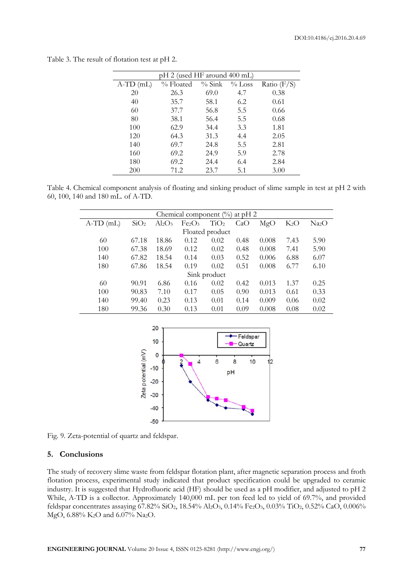| pH 2 (used HF around 400 mL) |           |          |           |               |  |  |  |  |  |
|------------------------------|-----------|----------|-----------|---------------|--|--|--|--|--|
| $A-TD$ (mL)                  | % Floated | $%$ Sink | $\%$ Loss | Ratio $(F/S)$ |  |  |  |  |  |
| 20                           | 26.3      | 69.0     | 4.7       | 0.38          |  |  |  |  |  |
| 40                           | 35.7      | 58.1     | 6.2       | 0.61          |  |  |  |  |  |
| 60                           | 37.7      | 56.8     | 5.5       | 0.66          |  |  |  |  |  |
| 80                           | 38.1      | 56.4     | 5.5       | 0.68          |  |  |  |  |  |
| 100                          | 62.9      | 34.4     | 3.3       | 1.81          |  |  |  |  |  |
| 120                          | 64.3      | 31.3     | 4.4       | 2.05          |  |  |  |  |  |
| 140                          | 69.7      | 24.8     | 5.5       | 2.81          |  |  |  |  |  |
| 160                          | 69.2      | 24.9     | 5.9       | 2.78          |  |  |  |  |  |
| 180                          | 69.2      | 24.4     | 6.4       | 2.84          |  |  |  |  |  |
| 200                          | 71.2      | 23.7     | 5.1       | 3.00          |  |  |  |  |  |

Table 3. The result of flotation test at pH 2.

Table 4. Chemical component analysis of floating and sinking product of slime sample in test at pH 2 with 60, 100, 140 and 180 mL. of A-TD.

| Chemical component $\frac{0}{0}$ at pH 2 |                  |               |                                |                  |      |       |            |                   |  |  |
|------------------------------------------|------------------|---------------|--------------------------------|------------------|------|-------|------------|-------------------|--|--|
| $A-TD$ (mL)                              | SiO <sub>2</sub> | $\rm Al_2O_3$ | Fe <sub>2</sub> O <sub>3</sub> | TiO <sub>2</sub> | CaO  | MgO   | $\rm K_2O$ | Na <sub>2</sub> O |  |  |
| Floated product                          |                  |               |                                |                  |      |       |            |                   |  |  |
| 60                                       | 67.18            | 18.86         | 0.12                           | 0.02             | 0.48 | 0.008 | 7.43       | 5.90              |  |  |
| 100                                      | 67.38            | 18.69         | 0.12                           | 0.02             | 0.48 | 0.008 | 7.41       | 5.90              |  |  |
| 140                                      | 67.82            | 18.54         | 0.14                           | 0.03             | 0.52 | 0.006 | 6.88       | 6.07              |  |  |
| 180                                      | 67.86            | 18.54         | 0.19                           | 0.02             | 0.51 | 0.008 | 6.77       | 6.10              |  |  |
| Sink product                             |                  |               |                                |                  |      |       |            |                   |  |  |
| 60                                       | 90.91            | 6.86          | 0.16                           | 0.02             | 0.42 | 0.013 | 1.37       | 0.25              |  |  |
| 100                                      | 90.83            | 7.10          | 0.17                           | 0.05             | 0.90 | 0.013 | 0.61       | 0.33              |  |  |
| 140                                      | 99.40            | 0.23          | 0.13                           | 0.01             | 0.14 | 0.009 | 0.06       | 0.02              |  |  |
| 180                                      | 99.36            | 0.30          | 0.13                           | 0.01             | 0.09 | 0.008 | 0.08       | 0.02              |  |  |



Fig. 9. Zeta-potential of quartz and feldspar.

# **5. Conclusions**

The study of recovery slime waste from feldspar flotation plant, after magnetic separation process and froth flotation process, experimental study indicated that product specification could be upgraded to ceramic industry. It is suggested that Hydrofluoric acid (HF) should be used as a pH modifier, and adjusted to pH 2 While, A-TD is a collector. Approximately 140,000 mL per ton feed led to yield of 69.7%, and provided feldspar concentrates assaying 67.82% SiO2, 18.54% Al2O3, 0.14% Fe2O3, 0.03% TiO2, 0.52% CaO, 0.006% MgO, 6.88% K2O and 6.07% Na2O.